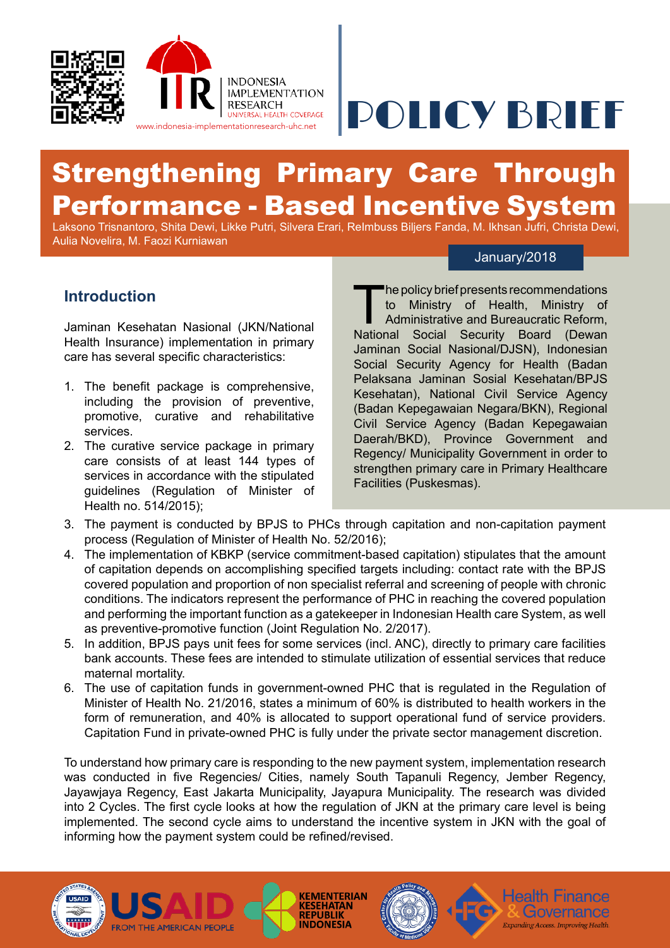

# WWW.indonesia-implementationresearch-uhc.net POLICY BRIEF

# Strengthening Primary Care Through Performance - Based Incentive System

Laksono Trisnantoro, Shita Dewi, Likke Putri, Silvera Erari, ReImbuss Biljers Fanda, M. Ikhsan Jufri, Christa Dewi, Aulia Novelira, M. Faozi Kurniawan

#### January/2018

Health Finance

# **Introduction**

Jaminan Kesehatan Nasional (JKN/National Health Insurance) implementation in primary care has several specific characteristics:

- 1. The benefit package is comprehensive, including the provision of preventive, promotive, curative and rehabilitative services.
- 2. The curative service package in primary care consists of at least 144 types of services in accordance with the stipulated guidelines (Regulation of Minister of Health no. 514/2015);

The policy brief presents recommendations<br>to Ministry of Health, Ministry of<br>Administrative and Bureaucratic Reform,<br>National Social Security Board (Dewan to Ministry of Health, Ministry of Administrative and Bureaucratic Reform, National Social Security Board (Dewan Jaminan Social Nasional/DJSN), Indonesian Social Security Agency for Health (Badan Pelaksana Jaminan Sosial Kesehatan/BPJS Kesehatan), National Civil Service Agency (Badan Kepegawaian Negara/BKN), Regional Civil Service Agency (Badan Kepegawaian Daerah/BKD), Province Government and Regency/ Municipality Government in order to strengthen primary care in Primary Healthcare Facilities (Puskesmas).

- 3. The payment is conducted by BPJS to PHCs through capitation and non-capitation payment process (Regulation of Minister of Health No. 52/2016);
- 4. The implementation of KBKP (service commitment-based capitation) stipulates that the amount of capitation depends on accomplishing specified targets including: contact rate with the BPJS covered population and proportion of non specialist referral and screening of people with chronic conditions. The indicators represent the performance of PHC in reaching the covered population and performing the important function as a gatekeeper in Indonesian Health care System, as well as preventive-promotive function (Joint Regulation No. 2/2017).
- 5. In addition, BPJS pays unit fees for some services (incl. ANC), directly to primary care facilities bank accounts. These fees are intended to stimulate utilization of essential services that reduce maternal mortality.
- 6. The use of capitation funds in government-owned PHC that is regulated in the Regulation of Minister of Health No. 21/2016, states a minimum of 60% is distributed to health workers in the form of remuneration, and 40% is allocated to support operational fund of service providers. Capitation Fund in private-owned PHC is fully under the private sector management discretion.

To understand how primary care is responding to the new payment system, implementation research was conducted in five Regencies/ Cities, namely South Tapanuli Regency, Jember Regency, Jayawjaya Regency, East Jakarta Municipality, Jayapura Municipality. The research was divided into 2 Cycles. The first cycle looks at how the regulation of JKN at the primary care level is being implemented. The second cycle aims to understand the incentive system in JKN with the goal of informing how the payment system could be refined/revised.

**KEMENTERIAN** 

**KESEHATAN INDONESIA** 



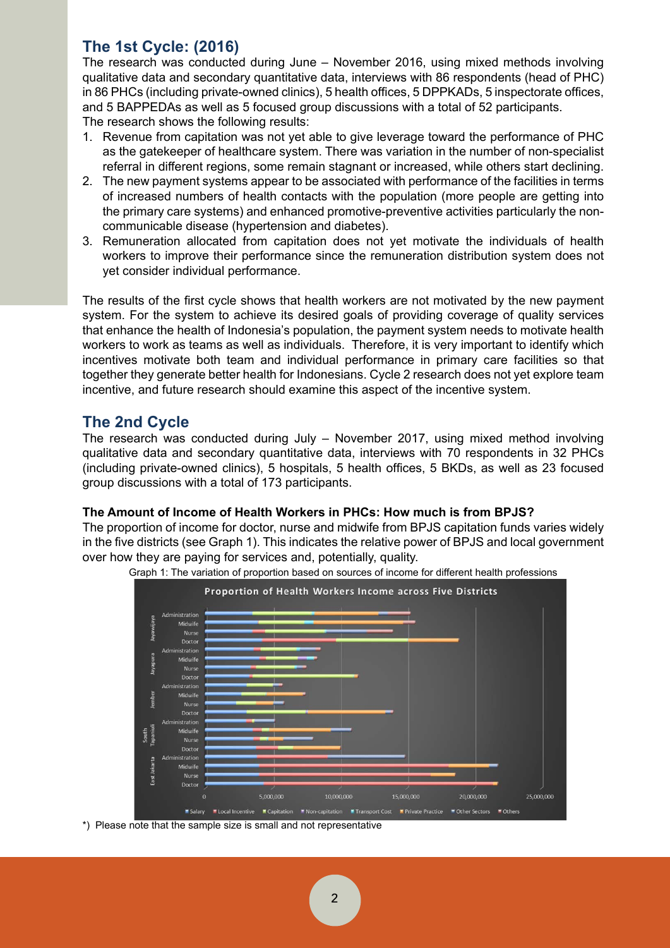# **The 1st Cycle: (2016)**

The research was conducted during June – November 2016, using mixed methods involving qualitative data and secondary quantitative data, interviews with 86 respondents (head of PHC) in 86 PHCs (including private-owned clinics), 5 health offices, 5 DPPKADs, 5 inspectorate offices, and 5 BAPPEDAs as well as 5 focused group discussions with a total of 52 participants. The research shows the following results:

- 1. Revenue from capitation was not yet able to give leverage toward the performance of PHC as the gatekeeper of healthcare system. There was variation in the number of non-specialist referral in different regions, some remain stagnant or increased, while others start declining.
- 2. The new payment systems appear to be associated with performance of the facilities in terms of increased numbers of health contacts with the population (more people are getting into the primary care systems) and enhanced promotive-preventive activities particularly the noncommunicable disease (hypertension and diabetes).
- 3. Remuneration allocated from capitation does not yet motivate the individuals of health workers to improve their performance since the remuneration distribution system does not yet consider individual performance.

The results of the first cycle shows that health workers are not motivated by the new payment system. For the system to achieve its desired goals of providing coverage of quality services that enhance the health of Indonesia's population, the payment system needs to motivate health workers to work as teams as well as individuals. Therefore, it is very important to identify which incentives motivate both team and individual performance in primary care facilities so that together they generate better health for Indonesians. Cycle 2 research does not yet explore team incentive, and future research should examine this aspect of the incentive system.

# **The 2nd Cycle**

The research was conducted during July – November 2017, using mixed method involving qualitative data and secondary quantitative data, interviews with 70 respondents in 32 PHCs (including private-owned clinics), 5 hospitals, 5 health offices, 5 BKDs, as well as 23 focused group discussions with a total of 173 participants.

#### **The Amount of Income of Health Workers in PHCs: How much is from BPJS?**

The proportion of income for doctor, nurse and midwife from BPJS capitation funds varies widely in the five districts (see Graph 1). This indicates the relative power of BPJS and local government over how they are paying for services and, potentially, quality.



Graph 1: The variation of proportion based on sources of income for different health professions

\*) Please note that the sample size is small and not representative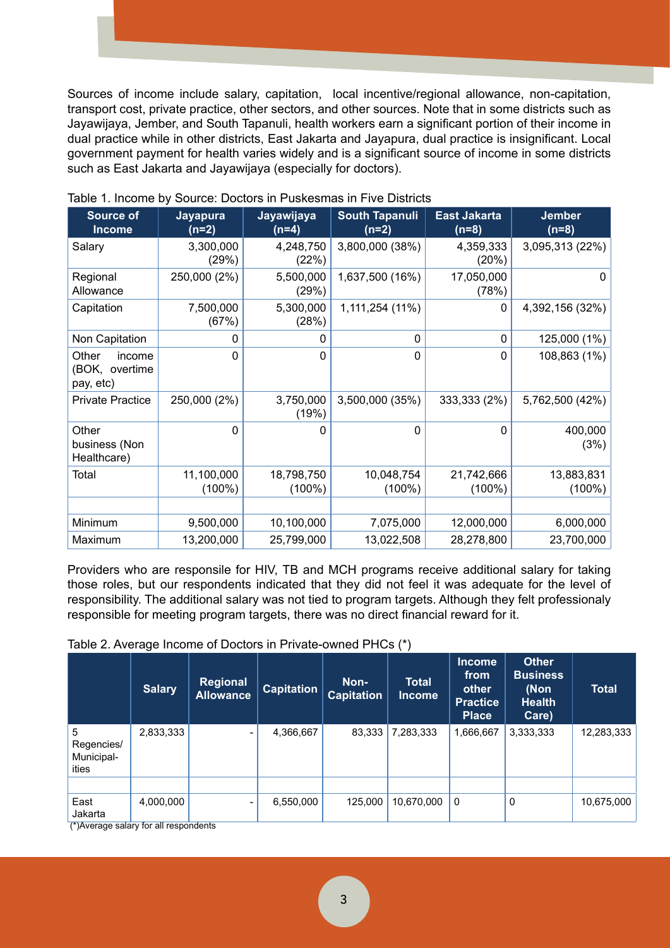Sources of income include salary, capitation, local incentive/regional allowance, non-capitation, transport cost, private practice, other sectors, and other sources. Note that in some districts such as Jayawijaya, Jember, and South Tapanuli, health workers earn a significant portion of their income in dual practice while in other districts, East Jakarta and Jayapura, dual practice is insignificant. Local government payment for health varies widely and is a significant source of income in some districts such as East Jakarta and Jayawijaya (especially for doctors).

| <b>Source of</b><br><b>Income</b>              | <b>Jayapura</b><br>$(n=2)$ | Jayawijaya<br>$(n=4)$   | <b>South Tapanuli</b><br>$(n=2)$ | <b>East Jakarta</b><br>$(n=8)$ | <b>Jember</b><br>$(n=8)$ |  |
|------------------------------------------------|----------------------------|-------------------------|----------------------------------|--------------------------------|--------------------------|--|
| Salary                                         | 3,300,000<br>(29%)         | 4,248,750<br>(22%)      | 3,800,000 (38%)                  | 4,359,333<br>(20%)             | 3,095,313 (22%)          |  |
| Regional<br>Allowance                          | 250,000 (2%)               | 5,500,000<br>(29%)      | 1,637,500 (16%)                  | 17,050,000<br>(78%)            | $\mathbf{0}$             |  |
| Capitation                                     | 7,500,000<br>(67%)         | 5,300,000<br>(28%)      | 1,111,254 (11%)                  | 0                              | 4,392,156 (32%)          |  |
| Non Capitation                                 | 0                          | 0                       | 0                                | 0                              | 125,000 (1%)             |  |
| Other<br>income<br>(BOK, overtime<br>pay, etc) | 0                          | $\Omega$                | 0                                | 0                              | 108,863 (1%)             |  |
| <b>Private Practice</b>                        | 250,000 (2%)               | 3,750,000<br>(19%)      | 3,500,000 (35%)                  | 333,333 (2%)                   | 5,762,500 (42%)          |  |
| Other<br>business (Non<br>Healthcare)          | 0                          | 0                       | $\Omega$                         | 0                              | 400,000<br>(3%)          |  |
| Total                                          | 11,100,000<br>$(100\%)$    | 18,798,750<br>$(100\%)$ | 10,048,754<br>$(100\%)$          | 21,742,666<br>$(100\%)$        | 13,883,831<br>$(100\%)$  |  |
|                                                |                            |                         |                                  |                                |                          |  |
| Minimum                                        | 9,500,000                  | 10,100,000              | 7,075,000                        | 12,000,000                     | 6,000,000                |  |
| Maximum                                        | 13,200,000                 | 25,799,000              | 13,022,508                       | 28,278,800                     | 23,700,000               |  |

Table 1. Income by Source: Doctors in Puskesmas in Five Districts

Providers who are responsile for HIV, TB and MCH programs receive additional salary for taking those roles, but our respondents indicated that they did not feel it was adequate for the level of responsibility. The additional salary was not tied to program targets. Although they felt professionaly responsible for meeting program targets, there was no direct financial reward for it.

#### Table 2. Average Income of Doctors in Private-owned PHCs (\*)

|                                                                                                                                                                                                                                                                                                                                                                                      | <b>Salary</b> | Regional<br><b>Allowance</b> | Capitation | Non-<br><b>Capitation</b> | <b>Total</b><br><b>Income</b> | <b>Income</b><br>from<br>other<br><b>Practice</b><br><b>Place</b> | <b>Other</b><br><b>Business</b><br>(Non<br><b>Health</b><br>Care) | <b>Total</b> |
|--------------------------------------------------------------------------------------------------------------------------------------------------------------------------------------------------------------------------------------------------------------------------------------------------------------------------------------------------------------------------------------|---------------|------------------------------|------------|---------------------------|-------------------------------|-------------------------------------------------------------------|-------------------------------------------------------------------|--------------|
| 5<br>Regencies/<br>Municipal-<br>ities                                                                                                                                                                                                                                                                                                                                               | 2,833,333     | Ξ.                           | 4,366,667  | 83,333                    | 7,283,333                     | 1,666,667                                                         | 3,333,333                                                         | 12,283,333   |
|                                                                                                                                                                                                                                                                                                                                                                                      |               |                              |            |                           |                               |                                                                   |                                                                   |              |
| East<br>Jakarta<br>$(*)$ $\Lambda$ $\lambda$ as $\lambda$ as $\lambda$ as $\lambda$ as $\lambda$ as $\lambda$ as $\lambda$ as $\lambda$ as $\lambda$ as $\lambda$ as $\lambda$ as $\lambda$ as $\lambda$ as $\lambda$ as $\lambda$ as $\lambda$ as $\lambda$ as $\lambda$ as $\lambda$ as $\lambda$ as $\lambda$ as $\lambda$ as $\lambda$ as $\lambda$ as $\lambda$ as $\lambda$ as | 4,000,000     | ۰                            | 6,550,000  | 125,000                   | 10,670,000                    | 0                                                                 | 0                                                                 | 10,675,000   |

(\*)Average salary for all respondents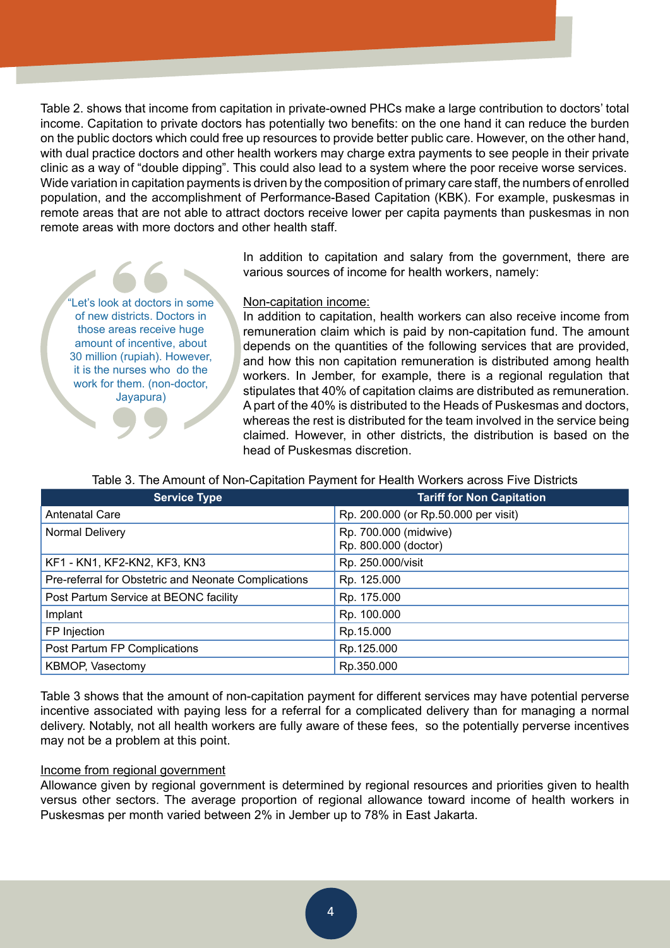Table 2. shows that income from capitation in private-owned PHCs make a large contribution to doctors' total income. Capitation to private doctors has potentially two benefits: on the one hand it can reduce the burden on the public doctors which could free up resources to provide better public care. However, on the other hand, with dual practice doctors and other health workers may charge extra payments to see people in their private clinic as a way of "double dipping". This could also lead to a system where the poor receive worse services. Wide variation in capitation payments is driven by the composition of primary care staff, the numbers of enrolled population, and the accomplishment of Performance-Based Capitation (KBK). For example, puskesmas in remote areas that are not able to attract doctors receive lower per capita payments than puskesmas in non remote areas with more doctors and other health staff.

> In addition to capitation and salary from the government, there are various sources of income for health workers, namely:

Let's look at doctors in some of new districts. Doctors in those areas receive huge amount of incentive, about 30 million (rupiah). However, it is the nurses who do the work for them. (non-doctor,

Jayapura)

#### Non-capitation income:

In addition to capitation, health workers can also receive income from remuneration claim which is paid by non-capitation fund. The amount depends on the quantities of the following services that are provided, and how this non capitation remuneration is distributed among health workers. In Jember, for example, there is a regional regulation that stipulates that 40% of capitation claims are distributed as remuneration. A part of the 40% is distributed to the Heads of Puskesmas and doctors, whereas the rest is distributed for the team involved in the service being claimed. However, in other districts, the distribution is based on the head of Puskesmas discretion.

Table 3. The Amount of Non-Capitation Payment for Health Workers across Five Districts

| <b>Service Type</b>                                  | <b>Tariff for Non Capitation</b>              |
|------------------------------------------------------|-----------------------------------------------|
| <b>Antenatal Care</b>                                | Rp. 200.000 (or Rp.50.000 per visit)          |
| Normal Delivery                                      | Rp. 700.000 (midwive)<br>Rp. 800.000 (doctor) |
| KF1 - KN1, KF2-KN2, KF3, KN3                         | Rp. 250.000/visit                             |
| Pre-referral for Obstetric and Neonate Complications | Rp. 125.000                                   |
| Post Partum Service at BEONC facility                | Rp. 175.000                                   |
| Implant                                              | Rp. 100.000                                   |
| FP Injection                                         | Rp.15.000                                     |
| Post Partum FP Complications                         | Rp.125.000                                    |
| KBMOP, Vasectomy                                     | Rp.350.000                                    |

Table 3 shows that the amount of non-capitation payment for different services may have potential perverse incentive associated with paying less for a referral for a complicated delivery than for managing a normal delivery. Notably, not all health workers are fully aware of these fees, so the potentially perverse incentives may not be a problem at this point.

#### Income from regional government

Allowance given by regional government is determined by regional resources and priorities given to health versus other sectors. The average proportion of regional allowance toward income of health workers in Puskesmas per month varied between 2% in Jember up to 78% in East Jakarta.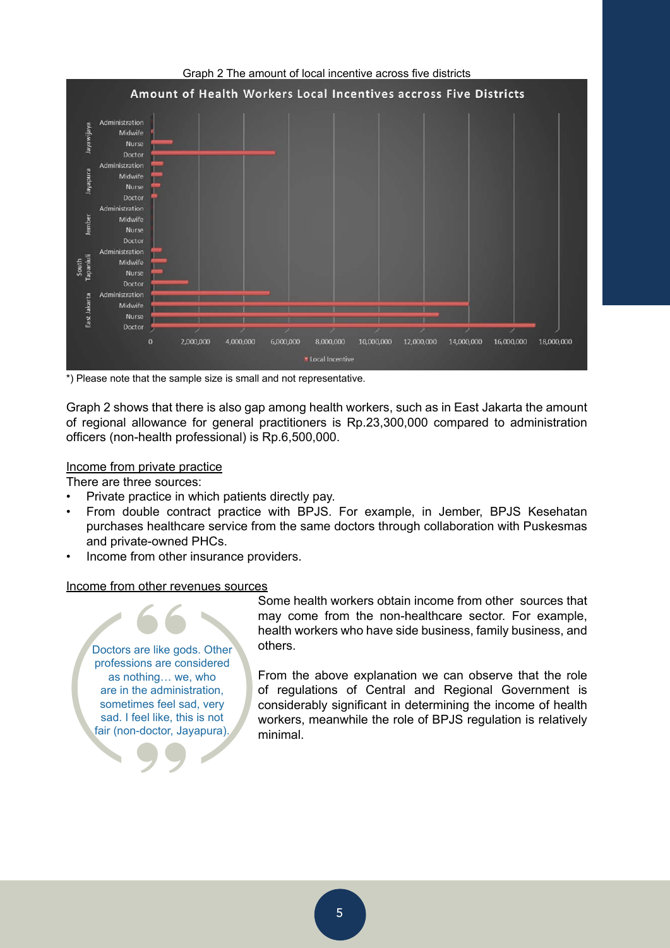

\*) Please note that the sample size is small and not representative.

Graph 2 shows that there is also gap among health workers, such as in East Jakarta the amount of regional allowance for general practitioners is Rp.23,300,000 compared to administration officers (non-health professional) is Rp.6,500,000.

#### Income from private practice

There are three sources:

- Private practice in which patients directly pay.
- From double contract practice with BPJS. For example, in Jember, BPJS Kesehatan purchases healthcare service from the same doctors through collaboration with Puskesmas and private-owned PHCs.
- Income from other insurance providers.

#### Income from other revenues sources

Doctors are like gods. Other professions are considered as nothing… we, who are in the administration, sometimes feel sad, very sad. I feel like, this is not fair (non-doctor, Jayapura).

Some health workers obtain income from other sources that may come from the non-healthcare sector. For example, health workers who have side business, family business, and others.

From the above explanation we can observe that the role of regulations of Central and Regional Government is considerably significant in determining the income of health workers, meanwhile the role of BPJS regulation is relatively minimal.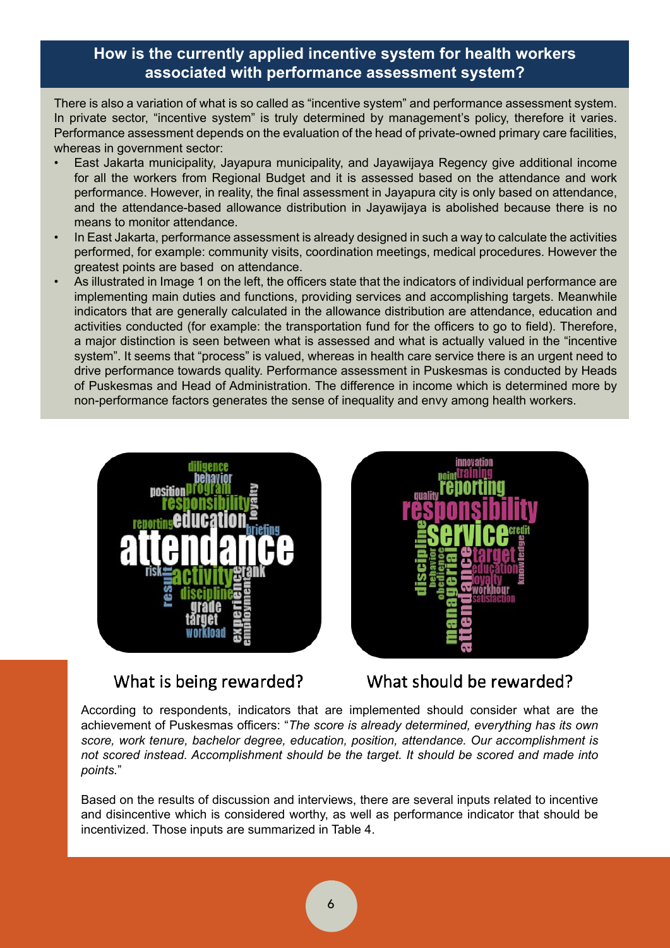# **How is the currently applied incentive system for health workers associated with performance assessment system?**

There is also a variation of what is so called as "incentive system" and performance assessment system. In private sector, "incentive system" is truly determined by management's policy, therefore it varies. Performance assessment depends on the evaluation of the head of private-owned primary care facilities, whereas in government sector:

- East Jakarta municipality, Jayapura municipality, and Jayawijaya Regency give additional income for all the workers from Regional Budget and it is assessed based on the attendance and work performance. However, in reality, the final assessment in Jayapura city is only based on attendance, and the attendance-based allowance distribution in Jayawijaya is abolished because there is no means to monitor attendance.
- In East Jakarta, performance assessment is already designed in such a way to calculate the activities performed, for example: community visits, coordination meetings, medical procedures. However the greatest points are based on attendance.
- As illustrated in Image 1 on the left, the officers state that the indicators of individual performance are implementing main duties and functions, providing services and accomplishing targets. Meanwhile indicators that are generally calculated in the allowance distribution are attendance, education and activities conducted (for example: the transportation fund for the officers to go to field). Therefore, a major distinction is seen between what is assessed and what is actually valued in the "incentive system". It seems that "process" is valued, whereas in health care service there is an urgent need to drive performance towards quality. Performance assessment in Puskesmas is conducted by Heads of Puskesmas and Head of Administration. The difference in income which is determined more by non-performance factors generates the sense of inequality and envy among health workers.





# What is being rewarded?

What should be rewarded?

According to respondents, indicators that are implemented should consider what are the achievement of Puskesmas officers: "*The score is already determined, everything has its own score, work tenure, bachelor degree, education, position, attendance. Our accomplishment is not scored instead. Accomplishment should be the target. It should be scored and made into points.*"

Based on the results of discussion and interviews, there are several inputs related to incentive and disincentive which is considered worthy, as well as performance indicator that should be incentivized. Those inputs are summarized in Table 4.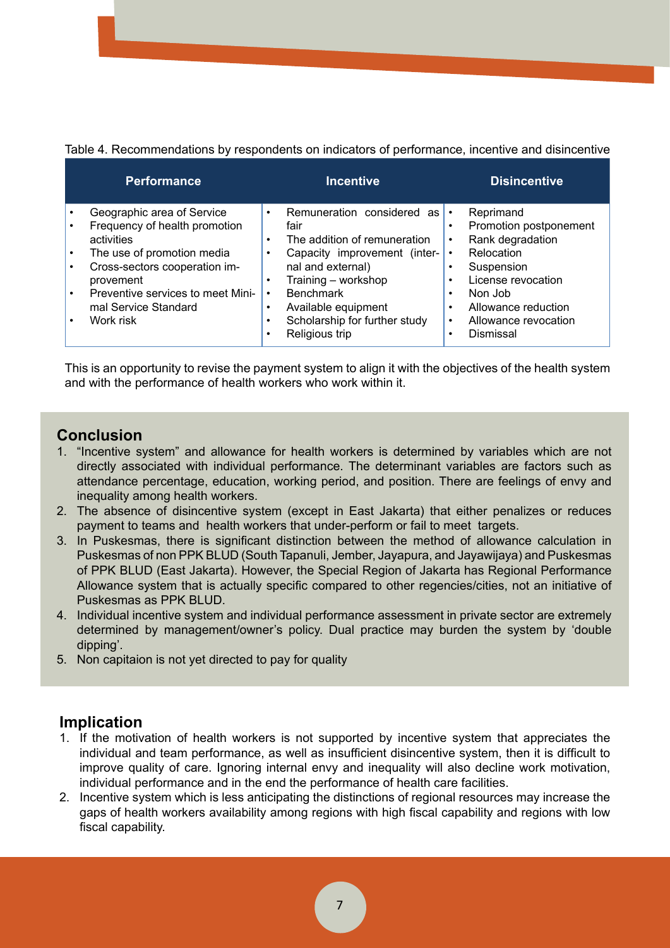Table 4. Recommendations by respondents on indicators of performance, incentive and disincentive

| <b>Performance</b>                                                                                                                                                                                                              |                             | <b>Incentive</b>                                                                                                                                                                                                           |                                                            | <b>Disincentive</b>                                                                                                                                                 |
|---------------------------------------------------------------------------------------------------------------------------------------------------------------------------------------------------------------------------------|-----------------------------|----------------------------------------------------------------------------------------------------------------------------------------------------------------------------------------------------------------------------|------------------------------------------------------------|---------------------------------------------------------------------------------------------------------------------------------------------------------------------|
| Geographic area of Service<br>Frequency of health promotion<br>activities<br>The use of promotion media<br>Cross-sectors cooperation im-<br>provement<br>Preventive services to meet Mini-<br>mal Service Standard<br>Work risk | $\bullet$<br>$\bullet$<br>٠ | Remuneration considered as<br>fair<br>The addition of remuneration<br>Capacity improvement (inter-<br>nal and external)<br>Training - workshop<br><b>Benchmark</b><br>Available equipment<br>Scholarship for further study | $\bullet$<br>$\bullet$<br>$\bullet$<br>٠<br>٠<br>$\bullet$ | Reprimand<br>Promotion postponement<br>Rank degradation<br>Relocation<br>Suspension<br>License revocation<br>Non Job<br>Allowance reduction<br>Allowance revocation |
|                                                                                                                                                                                                                                 |                             | Religious trip                                                                                                                                                                                                             | ٠                                                          | Dismissal                                                                                                                                                           |

This is an opportunity to revise the payment system to align it with the objectives of the health system and with the performance of health workers who work within it.

## **Conclusion**

- 1. "Incentive system" and allowance for health workers is determined by variables which are not directly associated with individual performance. The determinant variables are factors such as attendance percentage, education, working period, and position. There are feelings of envy and inequality among health workers.
- 2. The absence of disincentive system (except in East Jakarta) that either penalizes or reduces payment to teams and health workers that under-perform or fail to meet targets.
- 3. In Puskesmas, there is significant distinction between the method of allowance calculation in Puskesmas of non PPK BLUD (South Tapanuli, Jember, Jayapura, and Jayawijaya) and Puskesmas of PPK BLUD (East Jakarta). However, the Special Region of Jakarta has Regional Performance Allowance system that is actually specific compared to other regencies/cities, not an initiative of Puskesmas as PPK BLUD.
- 4. Individual incentive system and individual performance assessment in private sector are extremely determined by management/owner's policy. Dual practice may burden the system by 'double dipping'.
- 5. Non capitaion is not yet directed to pay for quality

# **Implication**

- 1. If the motivation of health workers is not supported by incentive system that appreciates the individual and team performance, as well as insufficient disincentive system, then it is difficult to improve quality of care. Ignoring internal envy and inequality will also decline work motivation, individual performance and in the end the performance of health care facilities.
- 2. Incentive system which is less anticipating the distinctions of regional resources may increase the gaps of health workers availability among regions with high fiscal capability and regions with low fiscal capability.